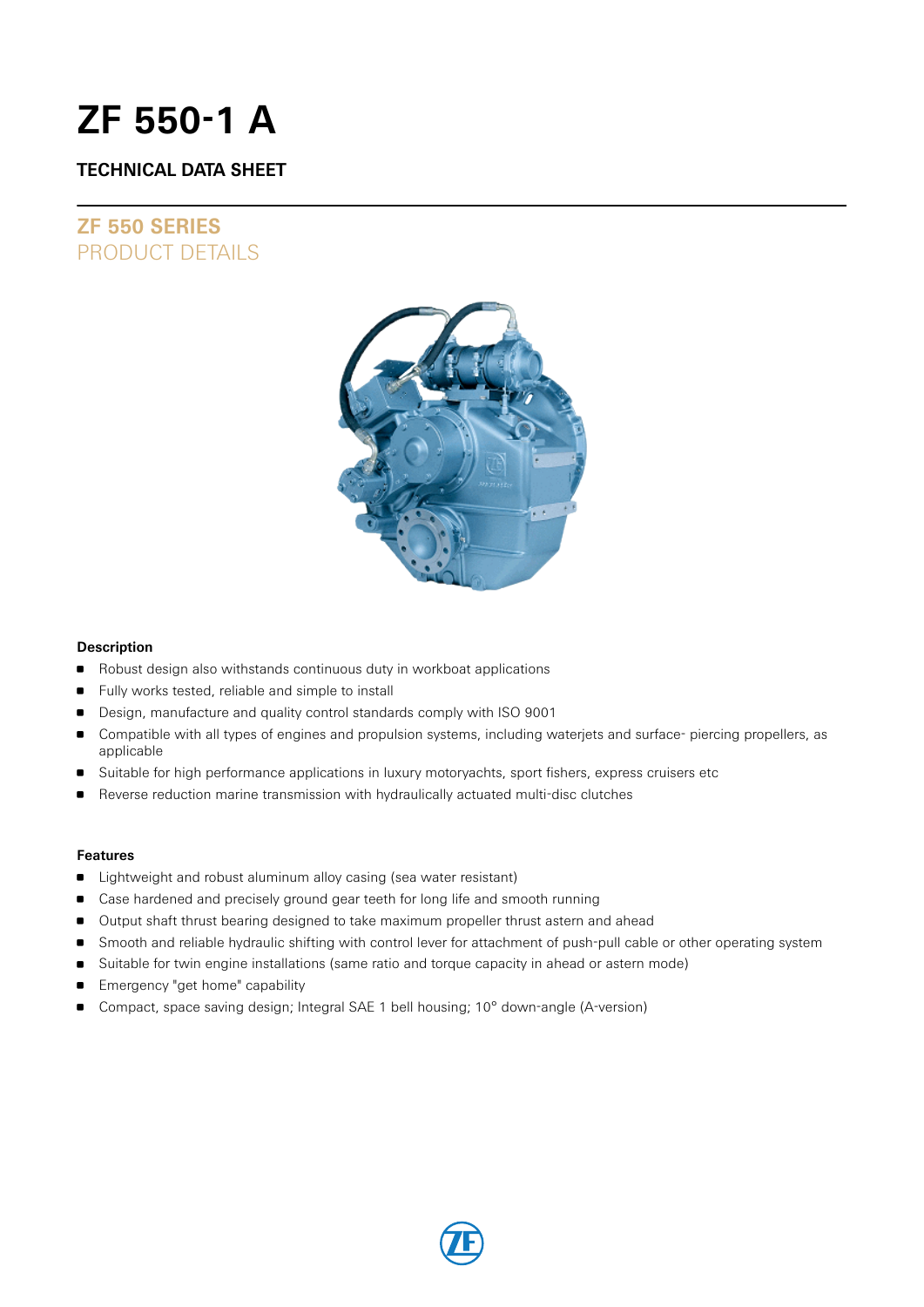# **ZF 550-1 A**

### **TECHNICAL DATA SHEET**

## **ZF 550 SERIES** PRODUCT DETAILS



### **Description**

- Robust design also withstands continuous duty in workboat applications
- **Fully works tested, reliable and simple to install**
- Design, manufacture and quality control standards comply with ISO 9001
- Compatible with all types of engines and propulsion systems, including waterjets and surface- piercing propellers, as applicable
- Suitable for high performance applications in luxury motoryachts, sport fishers, express cruisers etc
- Reverse reduction marine transmission with hydraulically actuated multi-disc clutches

### **Features**

- **EXTENDI** Lightweight and robust aluminum alloy casing (sea water resistant)
- **Case hardened and precisely ground gear teeth for long life and smooth running**
- Output shaft thrust bearing designed to take maximum propeller thrust astern and ahead
- **Smooth and reliable hydraulic shifting with control lever for attachment of push-pull cable or other operating system**
- **Suitable for twin engine installations (same ratio and torque capacity in ahead or astern mode)**
- Emergency "get home" capability
- Compact, space saving design; Integral SAE 1 bell housing; 10° down-angle (A-version)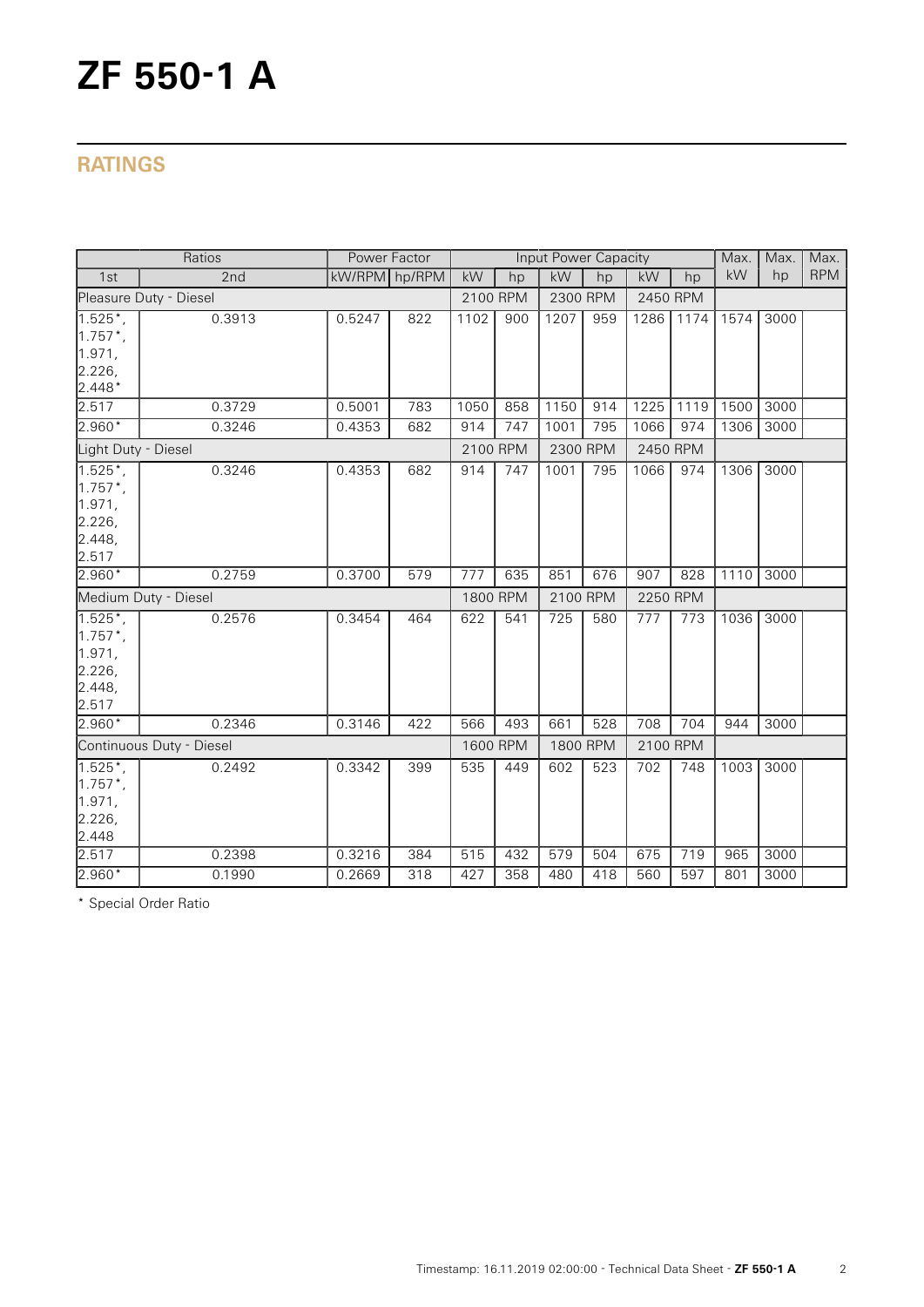# **ZF 550-1 A**

## **RATINGS**

|                                                                   | Ratios               |               | Power Factor |          |          | <b>Input Power Capacity</b> |          |          |                  | Max. | Max. | Max.       |
|-------------------------------------------------------------------|----------------------|---------------|--------------|----------|----------|-----------------------------|----------|----------|------------------|------|------|------------|
| 1st                                                               | 2nd                  | kW/RPM hp/RPM |              | kW       | hp       | kW                          | hp       | kW       | hp               | kW   | hp   | <b>RPM</b> |
| Pleasure Duty - Diesel                                            |                      |               |              | 2100 RPM |          | 2300 RPM                    |          | 2450 RPM |                  |      |      |            |
| $1.525$ <sup>*</sup> ,<br>$1.757$ *,<br>1.971,<br>2.226,          | 0.3913               | 0.5247        | 822          | 1102     | 900      | 1207                        | 959      | 1286     | 1174             | 1574 | 3000 |            |
| $2.448*$                                                          |                      |               |              |          |          |                             |          |          |                  |      |      |            |
| 2.517                                                             | 0.3729               | 0.5001        | 783          | 1050     | 858      | 1150                        | 914      | 1225     | 1119             | 1500 | 3000 |            |
| $2.960*$                                                          | 0.3246               | 0.4353        | 682          | 914      | 747      | 1001                        | 795      | 1066     | 974              | 1306 | 3000 |            |
| Light Duty - Diesel                                               |                      |               |              | 2100 RPM |          | 2300 RPM                    |          | 2450 RPM |                  |      |      |            |
| $1.525$ *,<br>$1.757$ *,<br>1.971,<br>2.226<br>2.448,<br>2.517    | 0.3246               | 0.4353        | 682          | 914      | 747      | 1001                        | 795      | 1066     | 974              | 1306 | 3000 |            |
| $2.960*$                                                          | 0.2759               | 0.3700        | 579          | 777      | 635      | 851                         | 676      | 907      | 828              | 1110 | 3000 |            |
|                                                                   | Medium Duty - Diesel |               |              | 1800 RPM |          | 2100 RPM                    |          |          | 2250 RPM         |      |      |            |
| $1.525$ *,<br>$1.757$ *,<br>1.971,<br>2.226,<br>2.448,<br>2.517   | 0.2576               | 0.3454        | 464          | 622      | 541      | 725                         | 580      | 777      | 773              | 1036 | 3000 |            |
| $2.960*$                                                          | 0.2346               | 0.3146        | 422          | 566      | 493      | 661                         | 528      | 708      | $\overline{704}$ | 944  | 3000 |            |
| Continuous Duty - Diesel                                          |                      |               |              |          | 1600 RPM |                             | 1800 RPM |          | 2100 RPM         |      |      |            |
| $1.525$ <sup>*</sup> ,<br>$1.757$ *,<br>1.971,<br>2.226,<br>2.448 | 0.2492               | 0.3342        | 399          | 535      | 449      | 602                         | 523      | 702      | 748              | 1003 | 3000 |            |
| 2.517                                                             | 0.2398               | 0.3216        | 384          | 515      | 432      | 579                         | 504      | 675      | 719              | 965  | 3000 |            |
| $2.960*$                                                          | 0.1990               | 0.2669        | 318          | 427      | 358      | 480                         | 418      | 560      | 597              | 801  | 3000 |            |

\* Special Order Ratio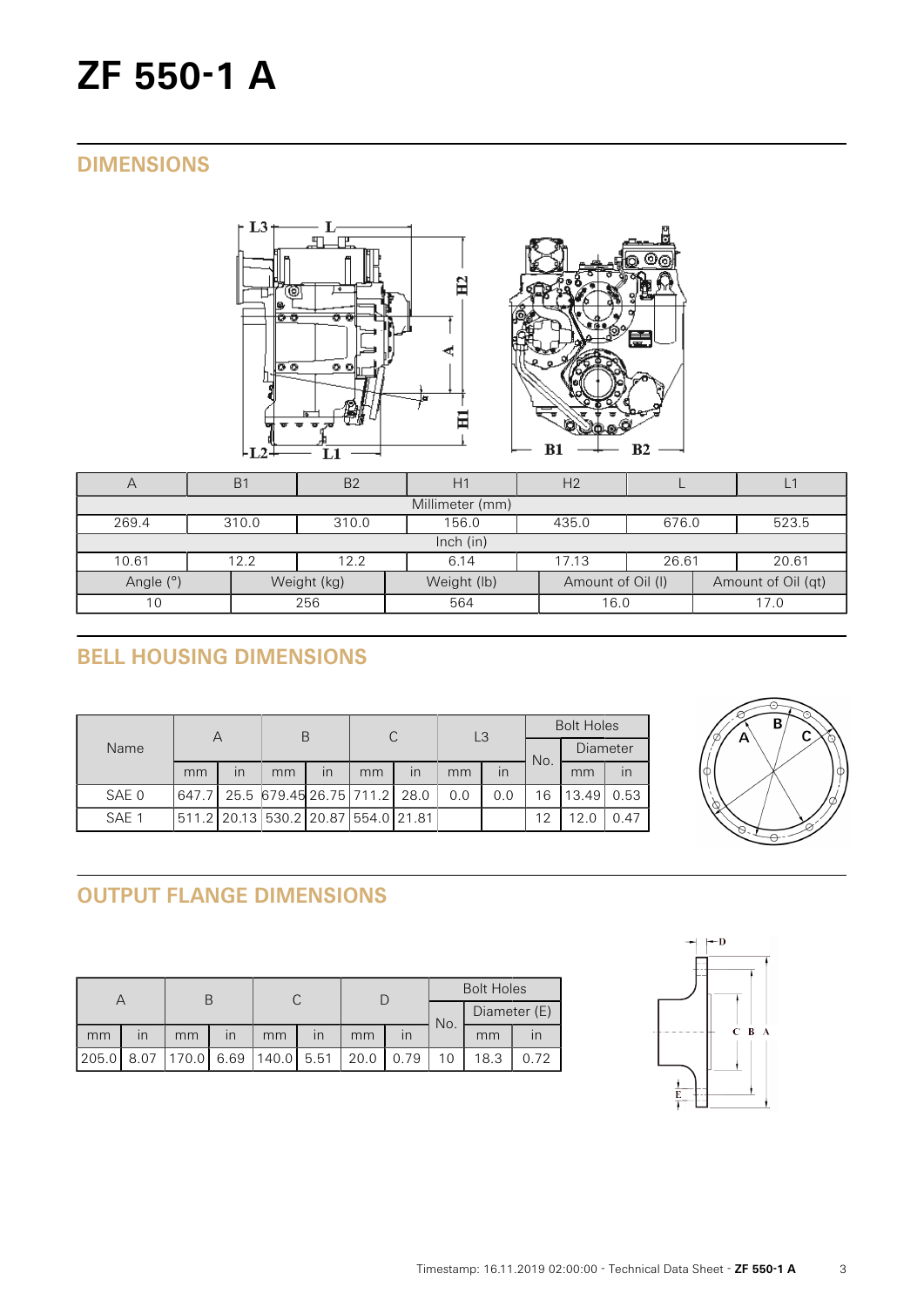# **ZF 550-1 A**

## **DIMENSIONS**





| Η               | <b>B1</b>                                          | <b>B2</b>   | H1                               | H <sub>2</sub> |       |                    |  |  |  |  |  |
|-----------------|----------------------------------------------------|-------------|----------------------------------|----------------|-------|--------------------|--|--|--|--|--|
| Millimeter (mm) |                                                    |             |                                  |                |       |                    |  |  |  |  |  |
| 269.4           | 310.0<br>156.0<br>310.0<br>676.0<br>523.5<br>435.0 |             |                                  |                |       |                    |  |  |  |  |  |
| lnch (in)       |                                                    |             |                                  |                |       |                    |  |  |  |  |  |
| 10.61           | 12.2                                               | 12.2        | 6.14                             | 17.13          | 26.61 | 20.61              |  |  |  |  |  |
| Angle (°)       |                                                    | Weight (kg) | Weight (lb)<br>Amount of Oil (I) |                |       | Amount of Oil (qt) |  |  |  |  |  |
| 10              |                                                    | 256         | 564                              | 16.0           |       | 17.0               |  |  |  |  |  |

# **BELL HOUSING DIMENSIONS**

|       | А                                   |                         | В  |                         | C  |    | L <sub>3</sub> |     | <b>Bolt Holes</b> |                 |      |  |
|-------|-------------------------------------|-------------------------|----|-------------------------|----|----|----------------|-----|-------------------|-----------------|------|--|
| Name  |                                     |                         |    |                         |    |    |                |     | No.               | Diameter        |      |  |
|       | mm                                  | $\overline{\mathsf{I}}$ | mm | $\overline{\mathsf{I}}$ | mm | in | mm             | in  |                   | mm              | in   |  |
| SAE 0 | 647.7 25.5 679.45 26.75 711.2 28.0  |                         |    |                         |    |    | 0.0            | 0.0 | 16                | 13.49           | 0.53 |  |
| SAE 1 | 511.2 20.13 530.2 20.87 554.0 21.81 |                         |    |                         |    |    |                |     | 12                | 12 <sub>c</sub> | 0.47 |  |



# **OUTPUT FLANGE DIMENSIONS**

|       |                         |                                                       |  |    |                         |      |      | <b>Bolt Holes</b> |              |      |  |
|-------|-------------------------|-------------------------------------------------------|--|----|-------------------------|------|------|-------------------|--------------|------|--|
|       |                         |                                                       |  |    |                         |      |      | No.               | Diameter (E) |      |  |
| mm    | $\overline{\mathsf{I}}$ | mm                                                    |  | mm | $\overline{\mathsf{I}}$ | mm   |      |                   | mm           |      |  |
| 205.0 | 8.07                    | $\vert 170.0 \vert 6.69 \vert 140.0 \vert 5.51 \vert$ |  |    |                         | 20.0 | 0.79 |                   | 18.3         | ი 72 |  |